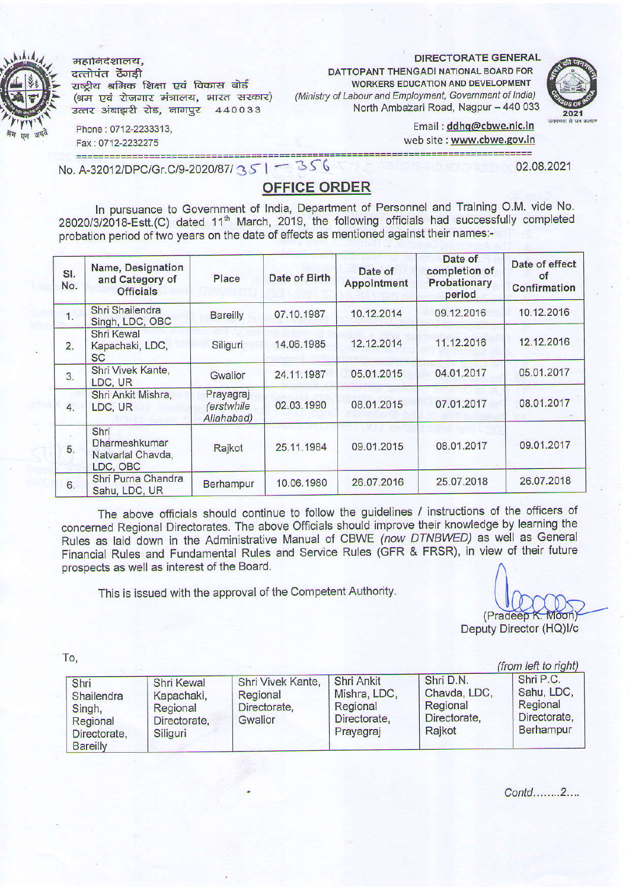महानिद<mark>शालय,</mark><br>दत्तोपंत ठेंगड़ी राष्ट्रीय श्रमिक शिक्षा एवं विकास बोर्ड (श्रम एवं रोजगार मंत्रालय, भारत सरकार)

उत्तर अंबाझरी रोड, नागपुर 440033

DIRECTORATE GENERAL

DATTOPANT THENGADI NATIONAL BOARO FOR WORKERS EDUCATION AND DEVELOPMENT (Ministry of Labour and Employnent, Govemnent of lndia) North Ambazari Road, Nagpur-440 033



Email: ddhq@cbwe.nic.in web site : www.cbwe.gov.in

Phone: 0712-2233313 Fax: 0712-2232275 =========================

No. A-32012/DPC/Gr.C/9-2020/87/35 | - 356 02.08.2021

## OFFICE ORDER

In pursuance to Government of India, Department of Personnel and Training O.M. vide No. 28020/3/2018-Estt.(C) dated 11<sup>th</sup> March, 2019, the following officials had successfully completed probation period of two years on the date of effects as mentioned against their names:-

| SI.<br>No.       | Name, Designation<br>and Category of<br><b>Officials</b> | Place                                 | Date of Birth | Date of<br>Appointment | Date of<br>completion of<br>Probationary<br>period | Date of effect<br>оf<br>Confirmation |
|------------------|----------------------------------------------------------|---------------------------------------|---------------|------------------------|----------------------------------------------------|--------------------------------------|
| 1.               | Shri Shailendra<br>Singh, LDC, OBC                       | <b>Bareilly</b>                       | 07.10.1987    | 10.12.2014             | 09.12.2016                                         | 10.12.2016                           |
| 2.               | <b>Shri Kewal</b><br>Kapachaki, LDC,<br><b>SC</b>        | Siliguri                              | 14.06.1985    | 12.12.2014             | 11.12.2016                                         | 12.12.2016                           |
| $\overline{3}$ . | Shri Vivek Kante,<br>LDC, UR                             | Gwalior                               | 24.11.1987    | 05.01.2015             | 04.01.2017                                         | 05.01.2017                           |
| 4.               | Shri Ankit Mishra,<br>LDC, UR                            | Prayagraj<br>(erstwhile<br>Allahabad) | 02.03.1990    | 08.01.2015             | 07.01.2017                                         | 08.01.2017                           |
| 5.               | Shri<br>Dharmeshkumar<br>Natvarlal Chavda,<br>LDC, OBC   | Rajkot                                | 25.11.1984    | 09.01.2015             | 08.01.2017                                         | 09.01.2017                           |
| 6.               | Shri Purna Chandra<br>Sahu, LDC, UR                      | <b>Berhampur</b>                      | 10.06.1980    | 26.07.2016             | 25.07.2018                                         | 26.07.2018                           |

The above officials should continue to follow the guidelines / instructions of the officers of concerned Regional Directorates. The above Officials should improve their knowledge by learning the Rules as laid down in the Administrative Manual of CBWE (now DTNBWED) as well as General Financial Rules and Fundamental Rules and Service Rules (GFR & FRSR), in view of their future prospects as well as interest of the Board.

This is issued with the approval of the Competent Authority.

(Pradeep K. Moon Deputy Director (HQ)l/c

To,

| $\mathbf{U}$                                                                |                                                                         |                                                          |                                                                     |                                                                 | (from left to right)                                             |
|-----------------------------------------------------------------------------|-------------------------------------------------------------------------|----------------------------------------------------------|---------------------------------------------------------------------|-----------------------------------------------------------------|------------------------------------------------------------------|
| Shri<br>Shailendra<br>Singh,<br>Regional<br>Directorate,<br><b>Bareilly</b> | <b>Shri Kewal</b><br>Kapachaki,<br>Regional<br>Directorate,<br>Siliguri | Shri Vivek Kante,<br>Regional<br>Directorate,<br>Gwalior | Shri Ankit<br>Mishra, LDC,<br>Regional<br>Directorate,<br>Prayagraj | Shri D.N.<br>Chavda, LDC,<br>Regional<br>Directorate,<br>Rajkot | Shri P.C.<br>Sahu, LDC,<br>Regional<br>Directorate,<br>Berhampur |

Contd........2....